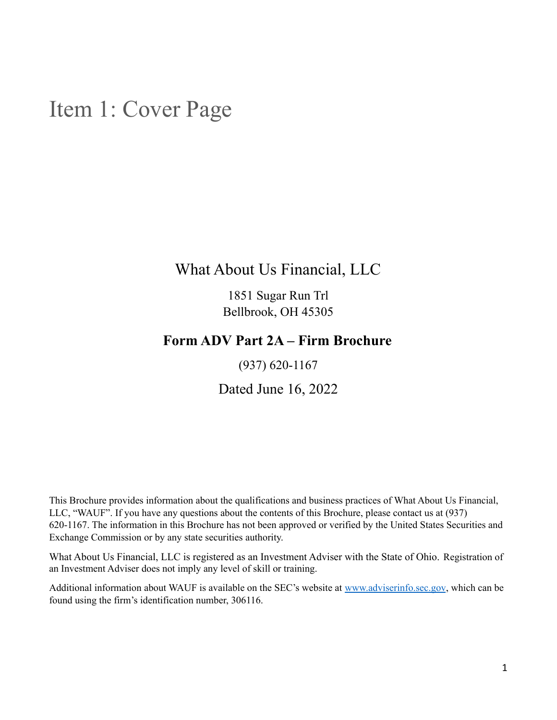## <span id="page-0-0"></span>Item 1: Cover Page

What About Us Financial, LLC

1851 Sugar Run Trl Bellbrook, OH 45305

### **Form ADV Part 2A – Firm Brochure**

(937) 620-1167

Dated June 16, 2022

This Brochure provides information about the qualifications and business practices of What About Us Financial, LLC, "WAUF". If you have any questions about the contents of this Brochure, please contact us at (937) 620-1167. The information in this Brochure has not been approved or verified by the United States Securities and Exchange Commission or by any state securities authority.

What About Us Financial, LLC is registered as an Investment Adviser with the State of Ohio. Registration of an Investment Adviser does not imply any level of skill or training.

Additional information about WAUF is available on the SEC's website at [www.adviserinfo.sec.gov](http://www.adviserinfo.sec.gov), which can be found using the firm's identification number, 306116.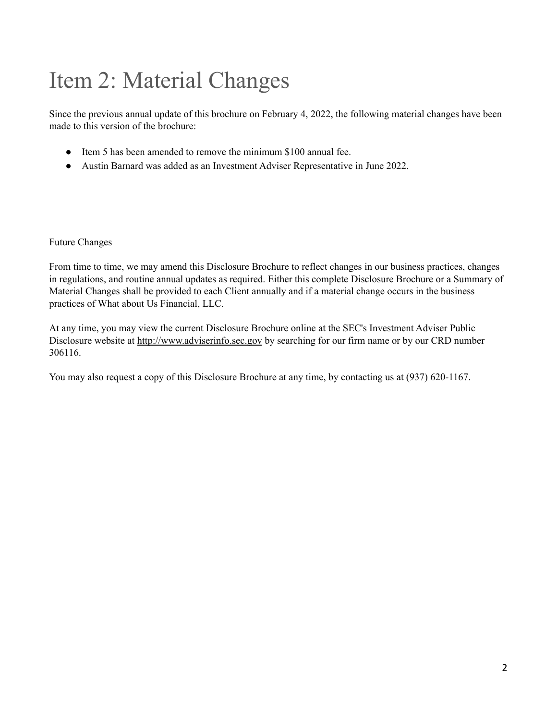## <span id="page-1-0"></span>Item 2: Material Changes

Since the previous annual update of this brochure on February 4, 2022, the following material changes have been made to this version of the brochure:

- Item 5 has been amended to remove the minimum \$100 annual fee.
- Austin Barnard was added as an Investment Adviser Representative in June 2022.

Future Changes

From time to time, we may amend this Disclosure Brochure to reflect changes in our business practices, changes in regulations, and routine annual updates as required. Either this complete Disclosure Brochure or a Summary of Material Changes shall be provided to each Client annually and if a material change occurs in the business practices of What about Us Financial, LLC.

At any time, you may view the current Disclosure Brochure online at the SEC's Investment Adviser Public Disclosure website at [http://www.adviserinfo.sec.gov](http://www.adviserinfo.sec.gov/) by searching for our firm name or by our CRD number 306116.

You may also request a copy of this Disclosure Brochure at any time, by contacting us at (937) 620-1167.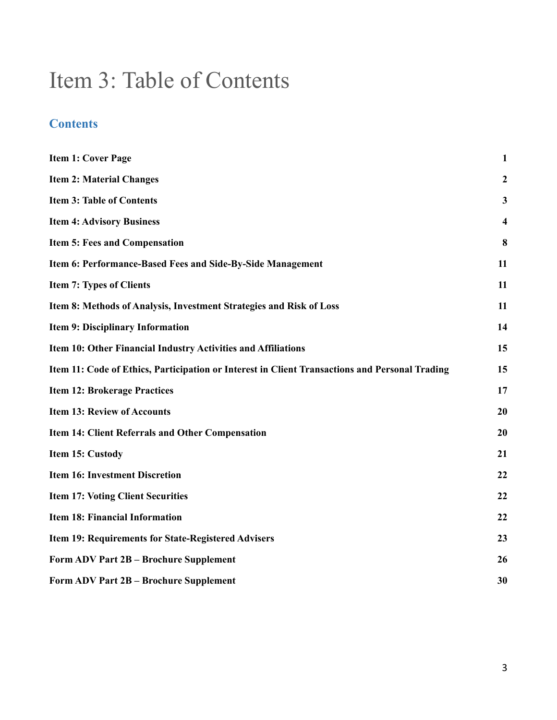## <span id="page-2-0"></span>Item 3: Table of Contents

### **Contents**

| <b>Item 1: Cover Page</b>                                                                      | $\mathbf{1}$     |
|------------------------------------------------------------------------------------------------|------------------|
| <b>Item 2: Material Changes</b>                                                                | $\boldsymbol{2}$ |
| <b>Item 3: Table of Contents</b>                                                               | 3                |
| <b>Item 4: Advisory Business</b>                                                               | 4                |
| <b>Item 5: Fees and Compensation</b>                                                           | 8                |
| Item 6: Performance-Based Fees and Side-By-Side Management                                     | 11               |
| <b>Item 7: Types of Clients</b>                                                                | 11               |
| Item 8: Methods of Analysis, Investment Strategies and Risk of Loss                            | 11               |
| <b>Item 9: Disciplinary Information</b>                                                        | 14               |
| Item 10: Other Financial Industry Activities and Affiliations                                  | 15               |
| Item 11: Code of Ethics, Participation or Interest in Client Transactions and Personal Trading | 15               |
| <b>Item 12: Brokerage Practices</b>                                                            | 17               |
| <b>Item 13: Review of Accounts</b>                                                             | 20               |
| Item 14: Client Referrals and Other Compensation                                               | 20               |
| Item 15: Custody                                                                               | 21               |
| <b>Item 16: Investment Discretion</b>                                                          | 22               |
| <b>Item 17: Voting Client Securities</b>                                                       | 22               |
| <b>Item 18: Financial Information</b>                                                          | 22               |
| Item 19: Requirements for State-Registered Advisers                                            | 23               |
| Form ADV Part 2B - Brochure Supplement                                                         | 26               |
| Form ADV Part 2B - Brochure Supplement                                                         | 30               |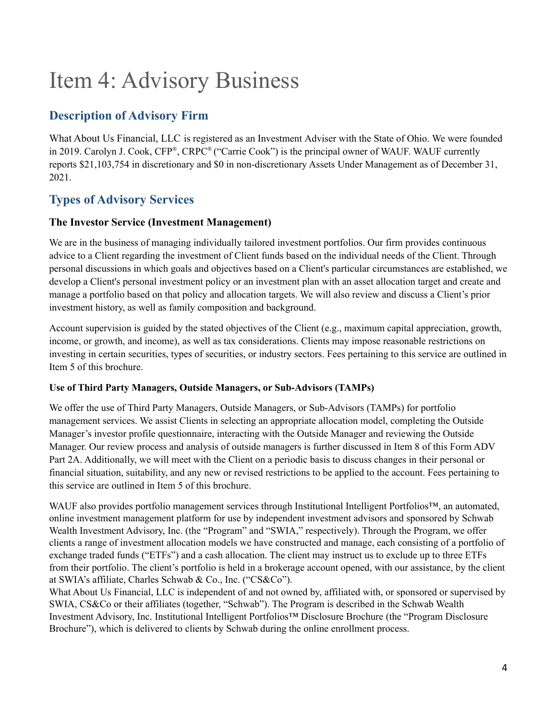## <span id="page-3-0"></span>Item 4: Advisory Business

### **Description of Advisory Firm**

What About Us Financial, LLC is registered as an Investment Adviser with the State of Ohio. We were founded in 2019. Carolyn J. Cook, CFP®, CRPC® ("Carrie Cook") is the principal owner of WAUF. WAUF currently reports \$21,103,754 in discretionary and \$0 in non-discretionary Assets Under Management as of December 31, 2021.

### **Types of Advisory Services**

#### **The Investor Service (Investment Management)**

We are in the business of managing individually tailored investment portfolios. Our firm provides continuous advice to a Client regarding the investment of Client funds based on the individual needs of the Client. Through personal discussions in which goals and objectives based on a Client's particular circumstances are established, we develop a Client's personal investment policy or an investment plan with an asset allocation target and create and manage a portfolio based on that policy and allocation targets. We will also review and discuss a Client's prior investment history, as well as family composition and background.

Account supervision is guided by the stated objectives of the Client (e.g., maximum capital appreciation, growth, income, or growth, and income), as well as tax considerations. Clients may impose reasonable restrictions on investing in certain securities, types of securities, or industry sectors. Fees pertaining to this service are outlined in Item 5 of this brochure.

#### **Use of Third Party Managers, Outside Managers, or Sub-Advisors (TAMPs)**

We offer the use of Third Party Managers, Outside Managers, or Sub-Advisors (TAMPs) for portfolio management services. We assist Clients in selecting an appropriate allocation model, completing the Outside Manager's investor profile questionnaire, interacting with the Outside Manager and reviewing the Outside Manager. Our review process and analysis of outside managers is further discussed in Item 8 of this Form ADV Part 2A. Additionally, we will meet with the Client on a periodic basis to discuss changes in their personal or financial situation, suitability, and any new or revised restrictions to be applied to the account. Fees pertaining to this service are outlined in Item 5 of this brochure.

WAUF also provides portfolio management services through Institutional Intelligent Portfolios™, an automated, online investment management platform for use by independent investment advisors and sponsored by Schwab Wealth Investment Advisory, Inc. (the "Program" and "SWIA," respectively). Through the Program, we offer clients a range of investment allocation models we have constructed and manage, each consisting of a portfolio of exchange traded funds ("ETFs") and a cash allocation. The client may instruct us to exclude up to three ETFs from their portfolio. The client's portfolio is held in a brokerage account opened, with our assistance, by the client at SWIA's affiliate, Charles Schwab & Co., Inc. ("CS&Co").

What About Us Financial, LLC is independent of and not owned by, affiliated with, or sponsored or supervised by SWIA, CS&Co or their affiliates (together, "Schwab"). The Program is described in the Schwab Wealth Investment Advisory, Inc. Institutional Intelligent Portfolios™️ Disclosure Brochure (the "Program Disclosure Brochure"), which is delivered to clients by Schwab during the online enrollment process.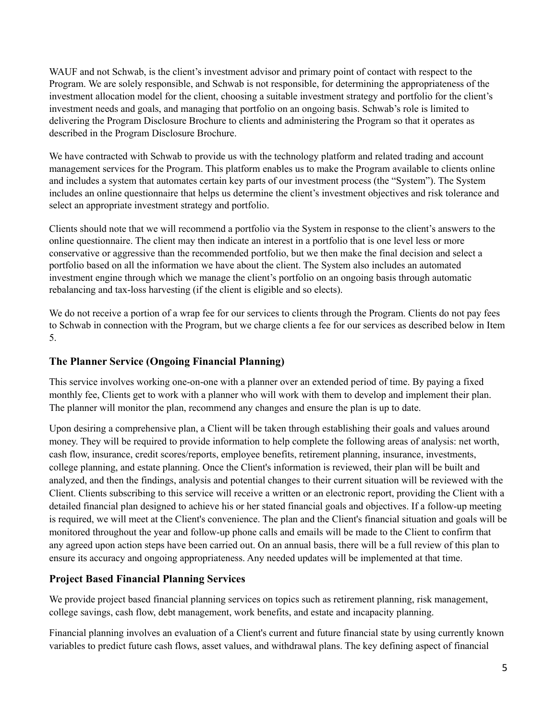WAUF and not Schwab, is the client's investment advisor and primary point of contact with respect to the Program. We are solely responsible, and Schwab is not responsible, for determining the appropriateness of the investment allocation model for the client, choosing a suitable investment strategy and portfolio for the client's investment needs and goals, and managing that portfolio on an ongoing basis. Schwab's role is limited to delivering the Program Disclosure Brochure to clients and administering the Program so that it operates as described in the Program Disclosure Brochure.

We have contracted with Schwab to provide us with the technology platform and related trading and account management services for the Program. This platform enables us to make the Program available to clients online and includes a system that automates certain key parts of our investment process (the "System"). The System includes an online questionnaire that helps us determine the client's investment objectives and risk tolerance and select an appropriate investment strategy and portfolio.

Clients should note that we will recommend a portfolio via the System in response to the client's answers to the online questionnaire. The client may then indicate an interest in a portfolio that is one level less or more conservative or aggressive than the recommended portfolio, but we then make the final decision and select a portfolio based on all the information we have about the client. The System also includes an automated investment engine through which we manage the client's portfolio on an ongoing basis through automatic rebalancing and tax-loss harvesting (if the client is eligible and so elects).

We do not receive a portion of a wrap fee for our services to clients through the Program. Clients do not pay fees to Schwab in connection with the Program, but we charge clients a fee for our services as described below in Item 5.

#### **The Planner Service (Ongoing Financial Planning)**

This service involves working one-on-one with a planner over an extended period of time. By paying a fixed monthly fee, Clients get to work with a planner who will work with them to develop and implement their plan. The planner will monitor the plan, recommend any changes and ensure the plan is up to date.

Upon desiring a comprehensive plan, a Client will be taken through establishing their goals and values around money. They will be required to provide information to help complete the following areas of analysis: net worth, cash flow, insurance, credit scores/reports, employee benefits, retirement planning, insurance, investments, college planning, and estate planning. Once the Client's information is reviewed, their plan will be built and analyzed, and then the findings, analysis and potential changes to their current situation will be reviewed with the Client. Clients subscribing to this service will receive a written or an electronic report, providing the Client with a detailed financial plan designed to achieve his or her stated financial goals and objectives. If a follow-up meeting is required, we will meet at the Client's convenience. The plan and the Client's financial situation and goals will be monitored throughout the year and follow-up phone calls and emails will be made to the Client to confirm that any agreed upon action steps have been carried out. On an annual basis, there will be a full review of this plan to ensure its accuracy and ongoing appropriateness. Any needed updates will be implemented at that time.

#### **Project Based Financial Planning Services**

We provide project based financial planning services on topics such as retirement planning, risk management, college savings, cash flow, debt management, work benefits, and estate and incapacity planning.

Financial planning involves an evaluation of a Client's current and future financial state by using currently known variables to predict future cash flows, asset values, and withdrawal plans. The key defining aspect of financial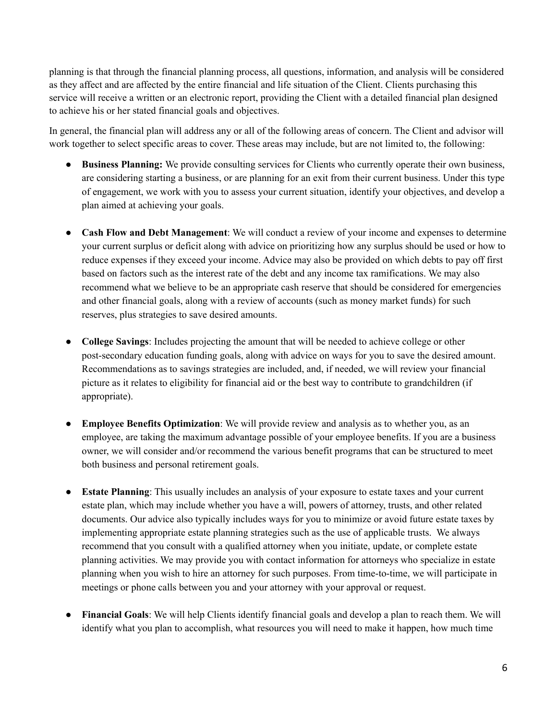planning is that through the financial planning process, all questions, information, and analysis will be considered as they affect and are affected by the entire financial and life situation of the Client. Clients purchasing this service will receive a written or an electronic report, providing the Client with a detailed financial plan designed to achieve his or her stated financial goals and objectives.

In general, the financial plan will address any or all of the following areas of concern. The Client and advisor will work together to select specific areas to cover. These areas may include, but are not limited to, the following:

- **Business Planning:** We provide consulting services for Clients who currently operate their own business, are considering starting a business, or are planning for an exit from their current business. Under this type of engagement, we work with you to assess your current situation, identify your objectives, and develop a plan aimed at achieving your goals.
- **Cash Flow and Debt Management**: We will conduct a review of your income and expenses to determine your current surplus or deficit along with advice on prioritizing how any surplus should be used or how to reduce expenses if they exceed your income. Advice may also be provided on which debts to pay off first based on factors such as the interest rate of the debt and any income tax ramifications. We may also recommend what we believe to be an appropriate cash reserve that should be considered for emergencies and other financial goals, along with a review of accounts (such as money market funds) for such reserves, plus strategies to save desired amounts.
- **College Savings**: Includes projecting the amount that will be needed to achieve college or other post-secondary education funding goals, along with advice on ways for you to save the desired amount. Recommendations as to savings strategies are included, and, if needed, we will review your financial picture as it relates to eligibility for financial aid or the best way to contribute to grandchildren (if appropriate).
- **Employee Benefits Optimization**: We will provide review and analysis as to whether you, as an employee, are taking the maximum advantage possible of your employee benefits. If you are a business owner, we will consider and/or recommend the various benefit programs that can be structured to meet both business and personal retirement goals.
- **Estate Planning**: This usually includes an analysis of your exposure to estate taxes and your current estate plan, which may include whether you have a will, powers of attorney, trusts, and other related documents. Our advice also typically includes ways for you to minimize or avoid future estate taxes by implementing appropriate estate planning strategies such as the use of applicable trusts. We always recommend that you consult with a qualified attorney when you initiate, update, or complete estate planning activities. We may provide you with contact information for attorneys who specialize in estate planning when you wish to hire an attorney for such purposes. From time-to-time, we will participate in meetings or phone calls between you and your attorney with your approval or request.
- **Financial Goals**: We will help Clients identify financial goals and develop a plan to reach them. We will identify what you plan to accomplish, what resources you will need to make it happen, how much time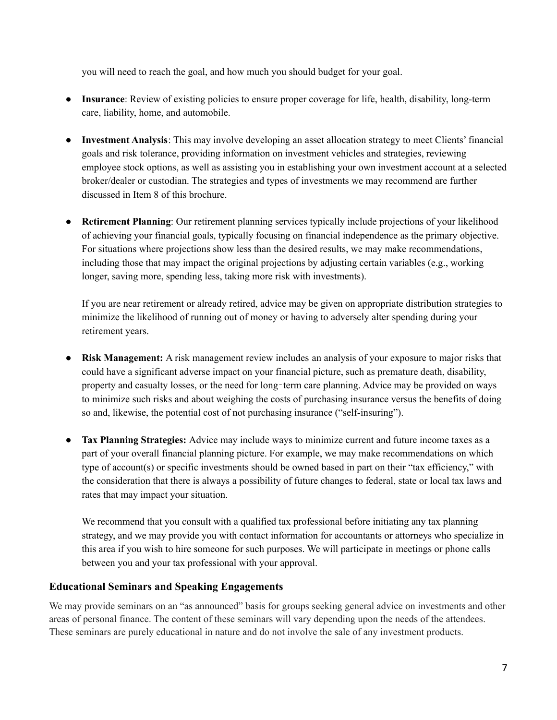you will need to reach the goal, and how much you should budget for your goal.

- **Insurance**: Review of existing policies to ensure proper coverage for life, health, disability, long-term care, liability, home, and automobile.
- **Investment Analysis**: This may involve developing an asset allocation strategy to meet Clients' financial goals and risk tolerance, providing information on investment vehicles and strategies, reviewing employee stock options, as well as assisting you in establishing your own investment account at a selected broker/dealer or custodian. The strategies and types of investments we may recommend are further discussed in Item 8 of this brochure.
- **Retirement Planning**: Our retirement planning services typically include projections of your likelihood of achieving your financial goals, typically focusing on financial independence as the primary objective. For situations where projections show less than the desired results, we may make recommendations, including those that may impact the original projections by adjusting certain variables (e.g., working longer, saving more, spending less, taking more risk with investments).

If you are near retirement or already retired, advice may be given on appropriate distribution strategies to minimize the likelihood of running out of money or having to adversely alter spending during your retirement years.

- **Risk Management:** A risk management review includes an analysis of your exposure to major risks that could have a significant adverse impact on your financial picture, such as premature death, disability, property and casualty losses, or the need for long-term care planning. Advice may be provided on ways to minimize such risks and about weighing the costs of purchasing insurance versus the benefits of doing so and, likewise, the potential cost of not purchasing insurance ("self-insuring").
- Tax Planning Strategies: Advice may include ways to minimize current and future income taxes as a part of your overall financial planning picture. For example, we may make recommendations on which type of account(s) or specific investments should be owned based in part on their "tax efficiency," with the consideration that there is always a possibility of future changes to federal, state or local tax laws and rates that may impact your situation.

We recommend that you consult with a qualified tax professional before initiating any tax planning strategy, and we may provide you with contact information for accountants or attorneys who specialize in this area if you wish to hire someone for such purposes. We will participate in meetings or phone calls between you and your tax professional with your approval.

#### **Educational Seminars and Speaking Engagements**

We may provide seminars on an "as announced" basis for groups seeking general advice on investments and other areas of personal finance. The content of these seminars will vary depending upon the needs of the attendees. These seminars are purely educational in nature and do not involve the sale of any investment products.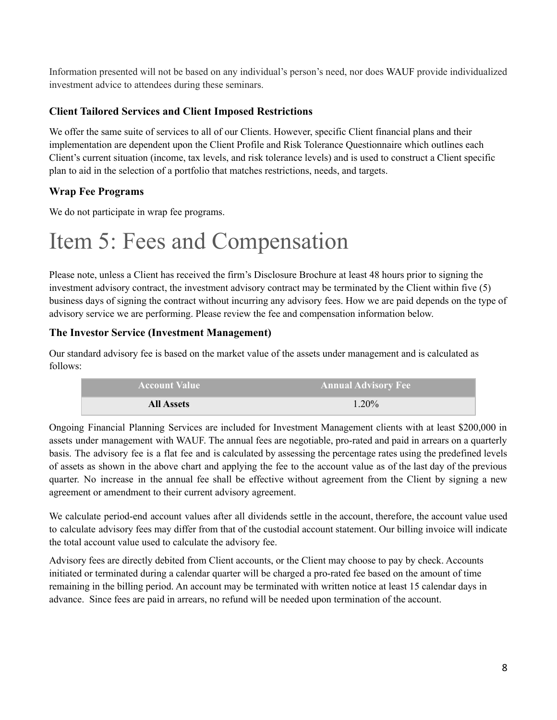Information presented will not be based on any individual's person's need, nor does WAUF provide individualized investment advice to attendees during these seminars.

#### **Client Tailored Services and Client Imposed Restrictions**

We offer the same suite of services to all of our Clients. However, specific Client financial plans and their implementation are dependent upon the Client Profile and Risk Tolerance Questionnaire which outlines each Client's current situation (income, tax levels, and risk tolerance levels) and is used to construct a Client specific plan to aid in the selection of a portfolio that matches restrictions, needs, and targets.

### **Wrap Fee Programs**

We do not participate in wrap fee programs.

## <span id="page-7-0"></span>Item 5: Fees and Compensation

Please note, unless a Client has received the firm's Disclosure Brochure at least 48 hours prior to signing the investment advisory contract, the investment advisory contract may be terminated by the Client within five (5) business days of signing the contract without incurring any advisory fees. How we are paid depends on the type of advisory service we are performing. Please review the fee and compensation information below.

#### **The Investor Service (Investment Management)**

Our standard advisory fee is based on the market value of the assets under management and is calculated as follows:

| <b>Account Value</b> | <b>Annual Advisory Fee</b> |
|----------------------|----------------------------|
| <b>All Assets</b>    | 1.20%                      |

Ongoing Financial Planning Services are included for Investment Management clients with at least \$200,000 in assets under management with WAUF. The annual fees are negotiable, pro-rated and paid in arrears on a quarterly basis. The advisory fee is a flat fee and is calculated by assessing the percentage rates using the predefined levels of assets as shown in the above chart and applying the fee to the account value as of the last day of the previous quarter. No increase in the annual fee shall be effective without agreement from the Client by signing a new agreement or amendment to their current advisory agreement.

We calculate period-end account values after all dividends settle in the account, therefore, the account value used to calculate advisory fees may differ from that of the custodial account statement. Our billing invoice will indicate the total account value used to calculate the advisory fee.

Advisory fees are directly debited from Client accounts, or the Client may choose to pay by check. Accounts initiated or terminated during a calendar quarter will be charged a pro-rated fee based on the amount of time remaining in the billing period. An account may be terminated with written notice at least 15 calendar days in advance. Since fees are paid in arrears, no refund will be needed upon termination of the account.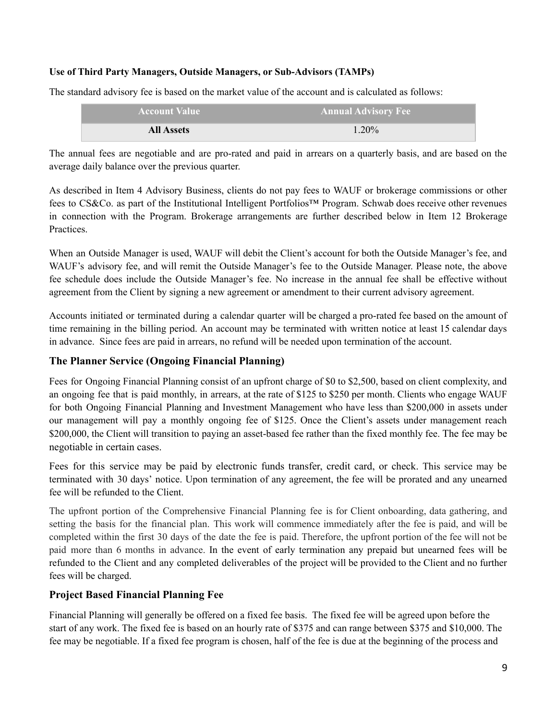#### **Use of Third Party Managers, Outside Managers, or Sub-Advisors (TAMPs)**

The standard advisory fee is based on the market value of the account and is calculated as follows:

| <b>Account Value</b> | <b>Annual Advisory Fee</b> |
|----------------------|----------------------------|
| <b>All Assets</b>    | $1.20\%$                   |

The annual fees are negotiable and are pro-rated and paid in arrears on a quarterly basis, and are based on the average daily balance over the previous quarter.

As described in Item 4 Advisory Business, clients do not pay fees to WAUF or brokerage commissions or other fees to CS&Co. as part of the Institutional Intelligent Portfolios™️ Program. Schwab does receive other revenues in connection with the Program. Brokerage arrangements are further described below in Item 12 Brokerage **Practices** 

When an Outside Manager is used, WAUF will debit the Client's account for both the Outside Manager's fee, and WAUF's advisory fee, and will remit the Outside Manager's fee to the Outside Manager. Please note, the above fee schedule does include the Outside Manager's fee. No increase in the annual fee shall be effective without agreement from the Client by signing a new agreement or amendment to their current advisory agreement.

Accounts initiated or terminated during a calendar quarter will be charged a pro-rated fee based on the amount of time remaining in the billing period. An account may be terminated with written notice at least 15 calendar days in advance. Since fees are paid in arrears, no refund will be needed upon termination of the account.

#### **The Planner Service (Ongoing Financial Planning)**

Fees for Ongoing Financial Planning consist of an upfront charge of \$0 to \$2,500, based on client complexity, and an ongoing fee that is paid monthly, in arrears, at the rate of \$125 to \$250 per month. Clients who engage WAUF for both Ongoing Financial Planning and Investment Management who have less than \$200,000 in assets under our management will pay a monthly ongoing fee of \$125. Once the Client's assets under management reach \$200,000, the Client will transition to paying an asset-based fee rather than the fixed monthly fee. The fee may be negotiable in certain cases.

Fees for this service may be paid by electronic funds transfer, credit card, or check. This service may be terminated with 30 days' notice. Upon termination of any agreement, the fee will be prorated and any unearned fee will be refunded to the Client.

The upfront portion of the Comprehensive Financial Planning fee is for Client onboarding, data gathering, and setting the basis for the financial plan. This work will commence immediately after the fee is paid, and will be completed within the first 30 days of the date the fee is paid. Therefore, the upfront portion of the fee will not be paid more than 6 months in advance. In the event of early termination any prepaid but unearned fees will be refunded to the Client and any completed deliverables of the project will be provided to the Client and no further fees will be charged.

#### **Project Based Financial Planning Fee**

Financial Planning will generally be offered on a fixed fee basis. The fixed fee will be agreed upon before the start of any work. The fixed fee is based on an hourly rate of \$375 and can range between \$375 and \$10,000. The fee may be negotiable. If a fixed fee program is chosen, half of the fee is due at the beginning of the process and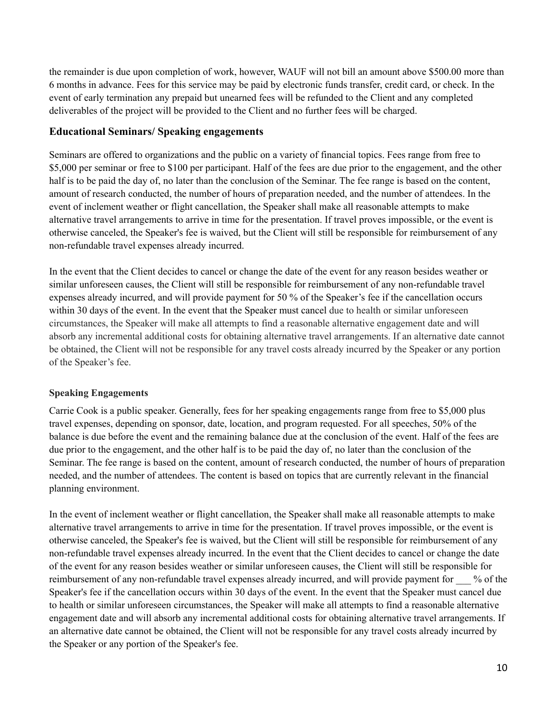the remainder is due upon completion of work, however, WAUF will not bill an amount above \$500.00 more than 6 months in advance. Fees for this service may be paid by electronic funds transfer, credit card, or check. In the event of early termination any prepaid but unearned fees will be refunded to the Client and any completed deliverables of the project will be provided to the Client and no further fees will be charged.

#### **Educational Seminars/ Speaking engagements**

Seminars are offered to organizations and the public on a variety of financial topics. Fees range from free to \$5,000 per seminar or free to \$100 per participant. Half of the fees are due prior to the engagement, and the other half is to be paid the day of, no later than the conclusion of the Seminar. The fee range is based on the content, amount of research conducted, the number of hours of preparation needed, and the number of attendees. In the event of inclement weather or flight cancellation, the Speaker shall make all reasonable attempts to make alternative travel arrangements to arrive in time for the presentation. If travel proves impossible, or the event is otherwise canceled, the Speaker's fee is waived, but the Client will still be responsible for reimbursement of any non-refundable travel expenses already incurred.

In the event that the Client decides to cancel or change the date of the event for any reason besides weather or similar unforeseen causes, the Client will still be responsible for reimbursement of any non-refundable travel expenses already incurred, and will provide payment for 50 % of the Speaker's fee if the cancellation occurs within 30 days of the event. In the event that the Speaker must cancel due to health or similar unforeseen circumstances, the Speaker will make all attempts to find a reasonable alternative engagement date and will absorb any incremental additional costs for obtaining alternative travel arrangements. If an alternative date cannot be obtained, the Client will not be responsible for any travel costs already incurred by the Speaker or any portion of the Speaker's fee.

#### **Speaking Engagements**

Carrie Cook is a public speaker. Generally, fees for her speaking engagements range from free to \$5,000 plus travel expenses, depending on sponsor, date, location, and program requested. For all speeches, 50% of the balance is due before the event and the remaining balance due at the conclusion of the event. Half of the fees are due prior to the engagement, and the other half is to be paid the day of, no later than the conclusion of the Seminar. The fee range is based on the content, amount of research conducted, the number of hours of preparation needed, and the number of attendees. The content is based on topics that are currently relevant in the financial planning environment.

In the event of inclement weather or flight cancellation, the Speaker shall make all reasonable attempts to make alternative travel arrangements to arrive in time for the presentation. If travel proves impossible, or the event is otherwise canceled, the Speaker's fee is waived, but the Client will still be responsible for reimbursement of any non-refundable travel expenses already incurred. In the event that the Client decides to cancel or change the date of the event for any reason besides weather or similar unforeseen causes, the Client will still be responsible for reimbursement of any non-refundable travel expenses already incurred, and will provide payment for  $\%$  of the Speaker's fee if the cancellation occurs within 30 days of the event. In the event that the Speaker must cancel due to health or similar unforeseen circumstances, the Speaker will make all attempts to find a reasonable alternative engagement date and will absorb any incremental additional costs for obtaining alternative travel arrangements. If an alternative date cannot be obtained, the Client will not be responsible for any travel costs already incurred by the Speaker or any portion of the Speaker's fee.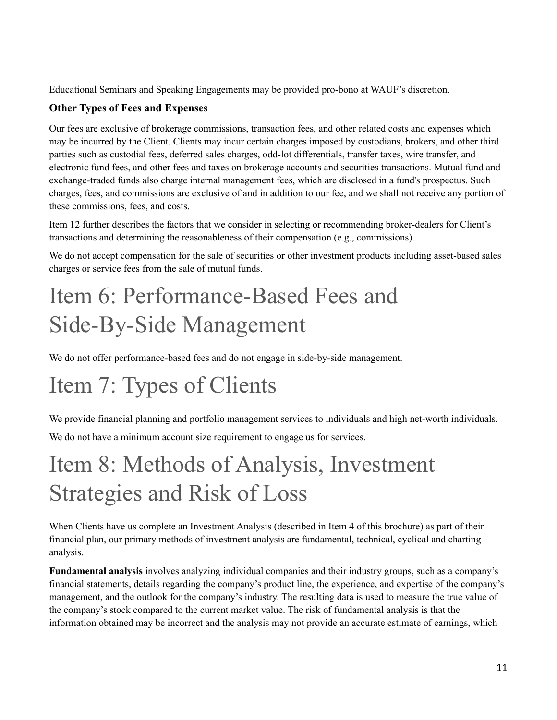Educational Seminars and Speaking Engagements may be provided pro-bono at WAUF's discretion.

### **Other Types of Fees and Expenses**

Our fees are exclusive of brokerage commissions, transaction fees, and other related costs and expenses which may be incurred by the Client. Clients may incur certain charges imposed by custodians, brokers, and other third parties such as custodial fees, deferred sales charges, odd-lot differentials, transfer taxes, wire transfer, and electronic fund fees, and other fees and taxes on brokerage accounts and securities transactions. Mutual fund and exchange-traded funds also charge internal management fees, which are disclosed in a fund's prospectus. Such charges, fees, and commissions are exclusive of and in addition to our fee, and we shall not receive any portion of these commissions, fees, and costs.

Item 12 further describes the factors that we consider in selecting or recommending broker-dealers for Client's transactions and determining the reasonableness of their compensation (e.g., commissions).

We do not accept compensation for the sale of securities or other investment products including asset-based sales charges or service fees from the sale of mutual funds.

## <span id="page-10-0"></span>Item 6: Performance-Based Fees and Side-By-Side Management

We do not offer performance-based fees and do not engage in side-by-side management.

# <span id="page-10-1"></span>Item 7: Types of Clients

We provide financial planning and portfolio management services to individuals and high net-worth individuals. We do not have a minimum account size requirement to engage us for services.

## <span id="page-10-2"></span>Item 8: Methods of Analysis, Investment Strategies and Risk of Loss

When Clients have us complete an Investment Analysis (described in Item 4 of this brochure) as part of their financial plan, our primary methods of investment analysis are fundamental, technical, cyclical and charting analysis.

**Fundamental analysis** involves analyzing individual companies and their industry groups, such as a company's financial statements, details regarding the company's product line, the experience, and expertise of the company's management, and the outlook for the company's industry. The resulting data is used to measure the true value of the company's stock compared to the current market value. The risk of fundamental analysis is that the information obtained may be incorrect and the analysis may not provide an accurate estimate of earnings, which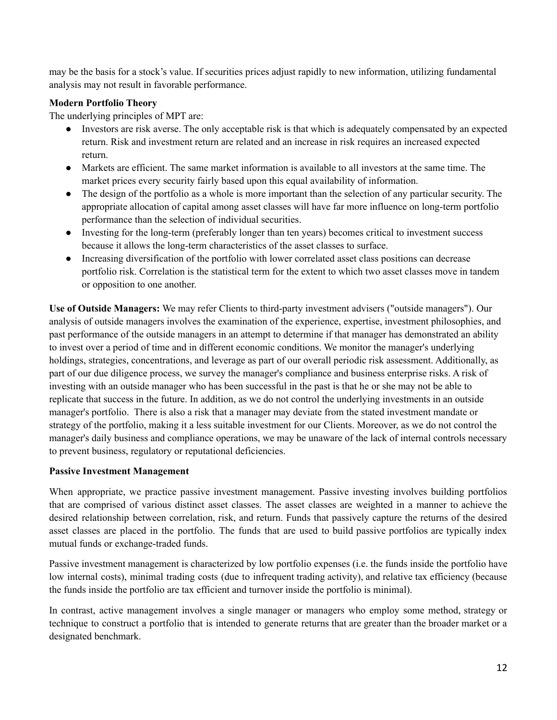may be the basis for a stock's value. If securities prices adjust rapidly to new information, utilizing fundamental analysis may not result in favorable performance.

#### **Modern Portfolio Theory**

The underlying principles of MPT are:

- Investors are risk averse. The only acceptable risk is that which is adequately compensated by an expected return. Risk and investment return are related and an increase in risk requires an increased expected return.
- Markets are efficient. The same market information is available to all investors at the same time. The market prices every security fairly based upon this equal availability of information.
- The design of the portfolio as a whole is more important than the selection of any particular security. The appropriate allocation of capital among asset classes will have far more influence on long-term portfolio performance than the selection of individual securities.
- Investing for the long-term (preferably longer than ten years) becomes critical to investment success because it allows the long-term characteristics of the asset classes to surface.
- Increasing diversification of the portfolio with lower correlated asset class positions can decrease portfolio risk. Correlation is the statistical term for the extent to which two asset classes move in tandem or opposition to one another.

**Use of Outside Managers:** We may refer Clients to third-party investment advisers ("outside managers"). Our analysis of outside managers involves the examination of the experience, expertise, investment philosophies, and past performance of the outside managers in an attempt to determine if that manager has demonstrated an ability to invest over a period of time and in different economic conditions. We monitor the manager's underlying holdings, strategies, concentrations, and leverage as part of our overall periodic risk assessment. Additionally, as part of our due diligence process, we survey the manager's compliance and business enterprise risks. A risk of investing with an outside manager who has been successful in the past is that he or she may not be able to replicate that success in the future. In addition, as we do not control the underlying investments in an outside manager's portfolio. There is also a risk that a manager may deviate from the stated investment mandate or strategy of the portfolio, making it a less suitable investment for our Clients. Moreover, as we do not control the manager's daily business and compliance operations, we may be unaware of the lack of internal controls necessary to prevent business, regulatory or reputational deficiencies.

#### **Passive Investment Management**

When appropriate, we practice passive investment management. Passive investing involves building portfolios that are comprised of various distinct asset classes. The asset classes are weighted in a manner to achieve the desired relationship between correlation, risk, and return. Funds that passively capture the returns of the desired asset classes are placed in the portfolio. The funds that are used to build passive portfolios are typically index mutual funds or exchange-traded funds.

Passive investment management is characterized by low portfolio expenses (i.e. the funds inside the portfolio have low internal costs), minimal trading costs (due to infrequent trading activity), and relative tax efficiency (because the funds inside the portfolio are tax efficient and turnover inside the portfolio is minimal).

In contrast, active management involves a single manager or managers who employ some method, strategy or technique to construct a portfolio that is intended to generate returns that are greater than the broader market or a designated benchmark.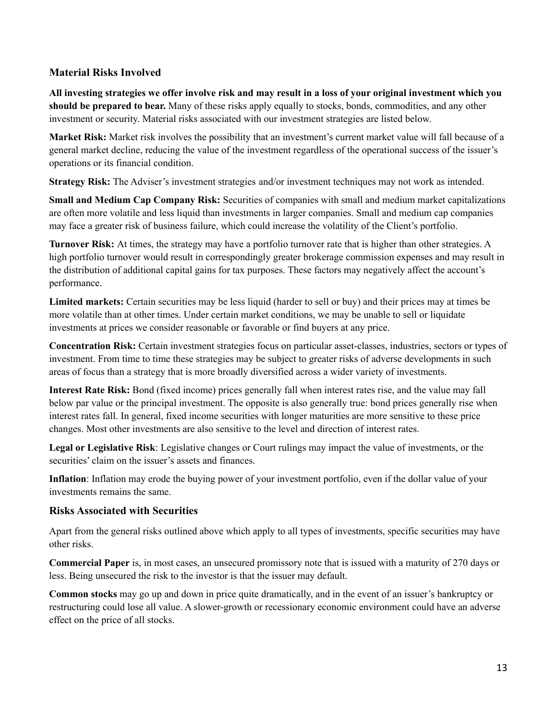#### **Material Risks Involved**

All investing strategies we offer involve risk and may result in a loss of your original investment which you **should be prepared to bear.** Many of these risks apply equally to stocks, bonds, commodities, and any other investment or security. Material risks associated with our investment strategies are listed below.

**Market Risk:** Market risk involves the possibility that an investment's current market value will fall because of a general market decline, reducing the value of the investment regardless of the operational success of the issuer's operations or its financial condition.

**Strategy Risk:** The Adviser's investment strategies and/or investment techniques may not work as intended.

**Small and Medium Cap Company Risk:** Securities of companies with small and medium market capitalizations are often more volatile and less liquid than investments in larger companies. Small and medium cap companies may face a greater risk of business failure, which could increase the volatility of the Client's portfolio.

**Turnover Risk:** At times, the strategy may have a portfolio turnover rate that is higher than other strategies. A high portfolio turnover would result in correspondingly greater brokerage commission expenses and may result in the distribution of additional capital gains for tax purposes. These factors may negatively affect the account's performance.

**Limited markets:** Certain securities may be less liquid (harder to sell or buy) and their prices may at times be more volatile than at other times. Under certain market conditions, we may be unable to sell or liquidate investments at prices we consider reasonable or favorable or find buyers at any price.

**Concentration Risk:** Certain investment strategies focus on particular asset-classes, industries, sectors or types of investment. From time to time these strategies may be subject to greater risks of adverse developments in such areas of focus than a strategy that is more broadly diversified across a wider variety of investments.

**Interest Rate Risk:** Bond (fixed income) prices generally fall when interest rates rise, and the value may fall below par value or the principal investment. The opposite is also generally true: bond prices generally rise when interest rates fall. In general, fixed income securities with longer maturities are more sensitive to these price changes. Most other investments are also sensitive to the level and direction of interest rates.

**Legal or Legislative Risk**: Legislative changes or Court rulings may impact the value of investments, or the securities' claim on the issuer's assets and finances.

**Inflation**: Inflation may erode the buying power of your investment portfolio, even if the dollar value of your investments remains the same.

#### **Risks Associated with Securities**

Apart from the general risks outlined above which apply to all types of investments, specific securities may have other risks.

**Commercial Paper** is, in most cases, an unsecured promissory note that is issued with a maturity of 270 days or less. Being unsecured the risk to the investor is that the issuer may default.

**Common stocks** may go up and down in price quite dramatically, and in the event of an issuer's bankruptcy or restructuring could lose all value. A slower-growth or recessionary economic environment could have an adverse effect on the price of all stocks.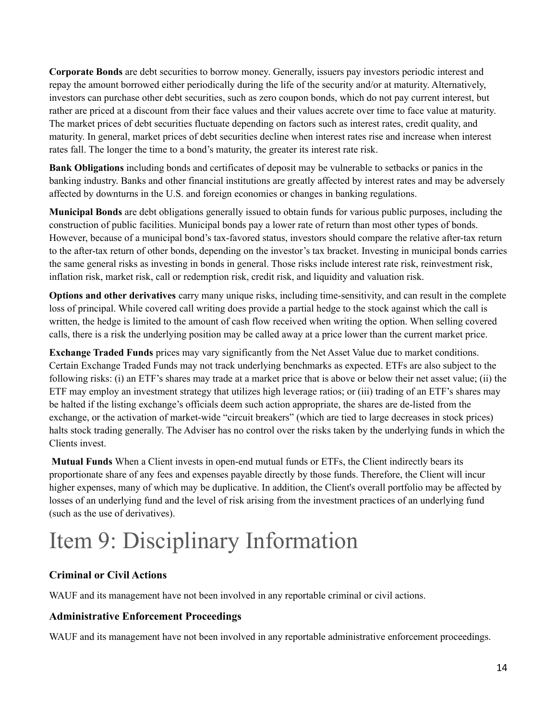**Corporate Bonds** are debt securities to borrow money. Generally, issuers pay investors periodic interest and repay the amount borrowed either periodically during the life of the security and/or at maturity. Alternatively, investors can purchase other debt securities, such as zero coupon bonds, which do not pay current interest, but rather are priced at a discount from their face values and their values accrete over time to face value at maturity. The market prices of debt securities fluctuate depending on factors such as interest rates, credit quality, and maturity. In general, market prices of debt securities decline when interest rates rise and increase when interest rates fall. The longer the time to a bond's maturity, the greater its interest rate risk.

**Bank Obligations** including bonds and certificates of deposit may be vulnerable to setbacks or panics in the banking industry. Banks and other financial institutions are greatly affected by interest rates and may be adversely affected by downturns in the U.S. and foreign economies or changes in banking regulations.

**Municipal Bonds** are debt obligations generally issued to obtain funds for various public purposes, including the construction of public facilities. Municipal bonds pay a lower rate of return than most other types of bonds. However, because of a municipal bond's tax-favored status, investors should compare the relative after-tax return to the after-tax return of other bonds, depending on the investor's tax bracket. Investing in municipal bonds carries the same general risks as investing in bonds in general. Those risks include interest rate risk, reinvestment risk, inflation risk, market risk, call or redemption risk, credit risk, and liquidity and valuation risk.

**Options and other derivatives** carry many unique risks, including time-sensitivity, and can result in the complete loss of principal. While covered call writing does provide a partial hedge to the stock against which the call is written, the hedge is limited to the amount of cash flow received when writing the option. When selling covered calls, there is a risk the underlying position may be called away at a price lower than the current market price.

**Exchange Traded Funds** prices may vary significantly from the Net Asset Value due to market conditions. Certain Exchange Traded Funds may not track underlying benchmarks as expected. ETFs are also subject to the following risks: (i) an ETF's shares may trade at a market price that is above or below their net asset value; (ii) the ETF may employ an investment strategy that utilizes high leverage ratios; or (iii) trading of an ETF's shares may be halted if the listing exchange's officials deem such action appropriate, the shares are de-listed from the exchange, or the activation of market-wide "circuit breakers" (which are tied to large decreases in stock prices) halts stock trading generally. The Adviser has no control over the risks taken by the underlying funds in which the Clients invest.

**Mutual Funds** When a Client invests in open-end mutual funds or ETFs, the Client indirectly bears its proportionate share of any fees and expenses payable directly by those funds. Therefore, the Client will incur higher expenses, many of which may be duplicative. In addition, the Client's overall portfolio may be affected by losses of an underlying fund and the level of risk arising from the investment practices of an underlying fund (such as the use of derivatives).

## <span id="page-13-0"></span>Item 9: Disciplinary Information

### **Criminal or Civil Actions**

WAUF and its management have not been involved in any reportable criminal or civil actions.

### **Administrative Enforcement Proceedings**

WAUF and its management have not been involved in any reportable administrative enforcement proceedings.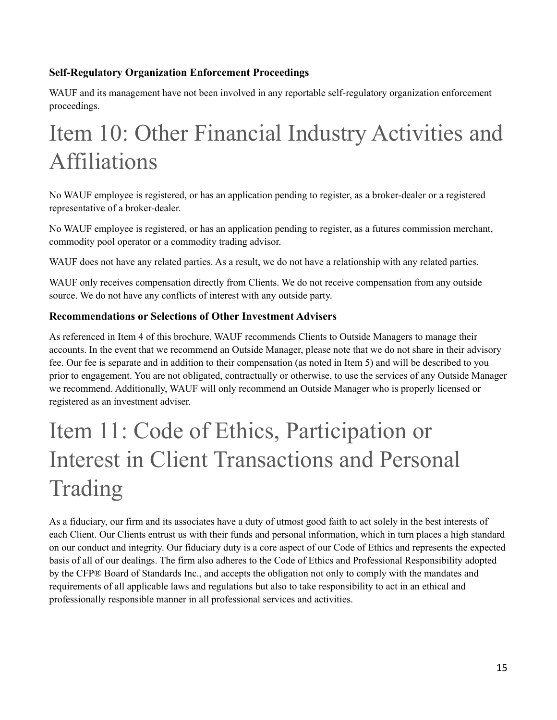### **Self-Regulatory Organization Enforcement Proceedings**

WAUF and its management have not been involved in any reportable self-regulatory organization enforcement proceedings.

## <span id="page-14-0"></span>Item 10: Other Financial Industry Activities and Affiliations

No WAUF employee is registered, or has an application pending to register, as a broker-dealer or a registered representative of a broker-dealer.

No WAUF employee is registered, or has an application pending to register, as a futures commission merchant, commodity pool operator or a commodity trading advisor.

WAUF does not have any related parties. As a result, we do not have a relationship with any related parties.

WAUF only receives compensation directly from Clients. We do not receive compensation from any outside source. We do not have any conflicts of interest with any outside party.

#### **Recommendations or Selections of Other Investment Advisers**

As referenced in Item 4 of this brochure, WAUF recommends Clients to Outside Managers to manage their accounts. In the event that we recommend an Outside Manager, please note that we do not share in their advisory fee. Our fee is separate and in addition to their compensation (as noted in Item 5) and will be described to you prior to engagement. You are not obligated, contractually or otherwise, to use the services of any Outside Manager we recommend. Additionally, WAUF will only recommend an Outside Manager who is properly licensed or registered as an investment adviser.

## Item 11: Code of Ethics, Participation or Interest in Client Transactions and Personal Trading

<span id="page-14-1"></span>As a fiduciary, our firm and its associates have a duty of utmost good faith to act solely in the best interests of each Client. Our Clients entrust us with their funds and personal information, which in turn places a high standard on our conduct and integrity. Our fiduciary duty is a core aspect of our Code of Ethics and represents the expected basis of all of our dealings. The firm also adheres to the Code of Ethics and Professional Responsibility adopted by the CFP® Board of Standards Inc., and accepts the obligation not only to comply with the mandates and requirements of all applicable laws and regulations but also to take responsibility to act in an ethical and professionally responsible manner in all professional services and activities.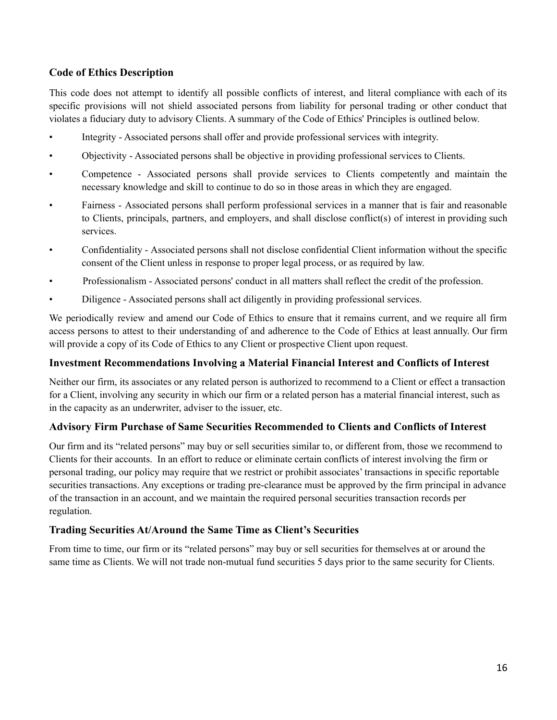#### **Code of Ethics Description**

This code does not attempt to identify all possible conflicts of interest, and literal compliance with each of its specific provisions will not shield associated persons from liability for personal trading or other conduct that violates a fiduciary duty to advisory Clients. A summary of the Code of Ethics' Principles is outlined below.

- Integrity Associated persons shall offer and provide professional services with integrity.
- Objectivity Associated persons shall be objective in providing professional services to Clients.
- Competence Associated persons shall provide services to Clients competently and maintain the necessary knowledge and skill to continue to do so in those areas in which they are engaged.
- Fairness Associated persons shall perform professional services in a manner that is fair and reasonable to Clients, principals, partners, and employers, and shall disclose conflict(s) of interest in providing such services.
- Confidentiality Associated persons shall not disclose confidential Client information without the specific consent of the Client unless in response to proper legal process, or as required by law.
- Professionalism Associated persons' conduct in all matters shall reflect the credit of the profession.
- Diligence Associated persons shall act diligently in providing professional services.

We periodically review and amend our Code of Ethics to ensure that it remains current, and we require all firm access persons to attest to their understanding of and adherence to the Code of Ethics at least annually. Our firm will provide a copy of its Code of Ethics to any Client or prospective Client upon request.

#### **Investment Recommendations Involving a Material Financial Interest and Conflicts of Interest**

Neither our firm, its associates or any related person is authorized to recommend to a Client or effect a transaction for a Client, involving any security in which our firm or a related person has a material financial interest, such as in the capacity as an underwriter, adviser to the issuer, etc.

#### **Advisory Firm Purchase of Same Securities Recommended to Clients and Conflicts of Interest**

Our firm and its "related persons" may buy or sell securities similar to, or different from, those we recommend to Clients for their accounts. In an effort to reduce or eliminate certain conflicts of interest involving the firm or personal trading, our policy may require that we restrict or prohibit associates' transactions in specific reportable securities transactions. Any exceptions or trading pre-clearance must be approved by the firm principal in advance of the transaction in an account, and we maintain the required personal securities transaction records per regulation.

#### **Trading Securities At/Around the Same Time as Client's Securities**

From time to time, our firm or its "related persons" may buy or sell securities for themselves at or around the same time as Clients. We will not trade non-mutual fund securities 5 days prior to the same security for Clients.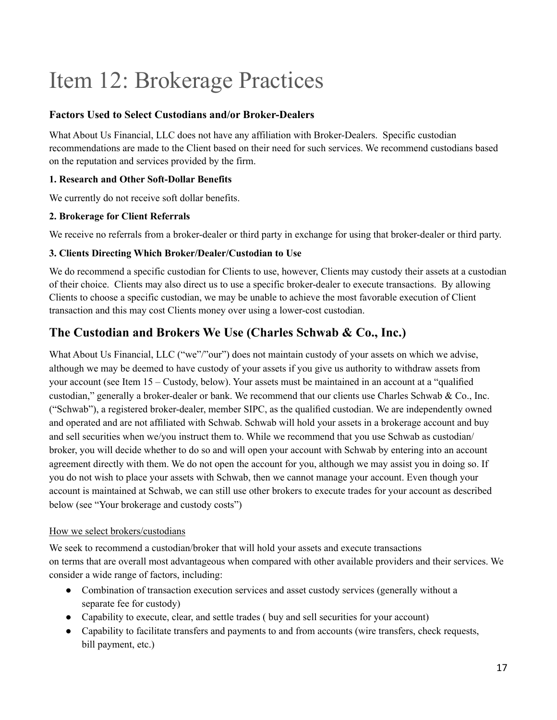## <span id="page-16-0"></span>Item 12: Brokerage Practices

#### **Factors Used to Select Custodians and/or Broker-Dealers**

What About Us Financial, LLC does not have any affiliation with Broker-Dealers. Specific custodian recommendations are made to the Client based on their need for such services. We recommend custodians based on the reputation and services provided by the firm.

#### **1. Research and Other Soft-Dollar Benefits**

We currently do not receive soft dollar benefits.

#### **2. Brokerage for Client Referrals**

We receive no referrals from a broker-dealer or third party in exchange for using that broker-dealer or third party.

#### **3. Clients Directing Which Broker/Dealer/Custodian to Use**

We do recommend a specific custodian for Clients to use, however, Clients may custody their assets at a custodian of their choice. Clients may also direct us to use a specific broker-dealer to execute transactions. By allowing Clients to choose a specific custodian, we may be unable to achieve the most favorable execution of Client transaction and this may cost Clients money over using a lower-cost custodian.

### **The Custodian and Brokers We Use (Charles Schwab & Co., Inc.)**

What About Us Financial, LLC ("we"/"our") does not maintain custody of your assets on which we advise, although we may be deemed to have custody of your assets if you give us authority to withdraw assets from your account (see Item 15 – Custody, below). Your assets must be maintained in an account at a "qualified custodian," generally a broker-dealer or bank. We recommend that our clients use Charles Schwab & Co., Inc. ("Schwab"), a registered broker-dealer, member SIPC, as the qualified custodian. We are independently owned and operated and are not affiliated with Schwab. Schwab will hold your assets in a brokerage account and buy and sell securities when we/you instruct them to. While we recommend that you use Schwab as custodian/ broker, you will decide whether to do so and will open your account with Schwab by entering into an account agreement directly with them. We do not open the account for you, although we may assist you in doing so. If you do not wish to place your assets with Schwab, then we cannot manage your account. Even though your account is maintained at Schwab, we can still use other brokers to execute trades for your account as described below (see "Your brokerage and custody costs")

#### How we select brokers/custodians

We seek to recommend a custodian/broker that will hold your assets and execute transactions on terms that are overall most advantageous when compared with other available providers and their services. We consider a wide range of factors, including:

- Combination of transaction execution services and asset custody services (generally without a separate fee for custody)
- Capability to execute, clear, and settle trades (buy and sell securities for your account)
- Capability to facilitate transfers and payments to and from accounts (wire transfers, check requests, bill payment, etc.)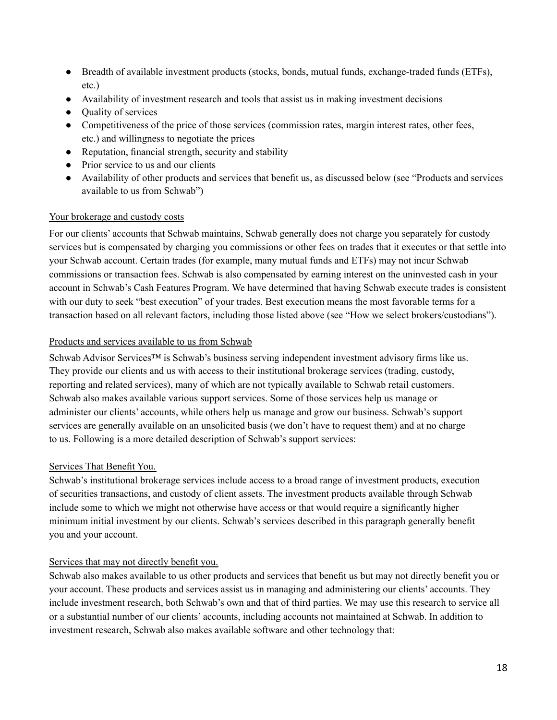- Breadth of available investment products (stocks, bonds, mutual funds, exchange-traded funds (ETFs), etc.)
- Availability of investment research and tools that assist us in making investment decisions
- Ouality of services
- Competitiveness of the price of those services (commission rates, margin interest rates, other fees, etc.) and willingness to negotiate the prices
- Reputation, financial strength, security and stability
- Prior service to us and our clients
- Availability of other products and services that benefit us, as discussed below (see "Products and services available to us from Schwab")

#### Your brokerage and custody costs

For our clients' accounts that Schwab maintains, Schwab generally does not charge you separately for custody services but is compensated by charging you commissions or other fees on trades that it executes or that settle into your Schwab account. Certain trades (for example, many mutual funds and ETFs) may not incur Schwab commissions or transaction fees. Schwab is also compensated by earning interest on the uninvested cash in your account in Schwab's Cash Features Program. We have determined that having Schwab execute trades is consistent with our duty to seek "best execution" of your trades. Best execution means the most favorable terms for a transaction based on all relevant factors, including those listed above (see "How we select brokers/custodians").

#### Products and services available to us from Schwab

Schwab Advisor Services<sup>™</sup> is Schwab's business serving independent investment advisory firms like us. They provide our clients and us with access to their institutional brokerage services (trading, custody, reporting and related services), many of which are not typically available to Schwab retail customers. Schwab also makes available various support services. Some of those services help us manage or administer our clients' accounts, while others help us manage and grow our business. Schwab's support services are generally available on an unsolicited basis (we don't have to request them) and at no charge to us. Following is a more detailed description of Schwab's support services:

#### Services That Benefit You.

Schwab's institutional brokerage services include access to a broad range of investment products, execution of securities transactions, and custody of client assets. The investment products available through Schwab include some to which we might not otherwise have access or that would require a significantly higher minimum initial investment by our clients. Schwab's services described in this paragraph generally benefit you and your account.

#### Services that may not directly benefit you.

Schwab also makes available to us other products and services that benefit us but may not directly benefit you or your account. These products and services assist us in managing and administering our clients' accounts. They include investment research, both Schwab's own and that of third parties. We may use this research to service all or a substantial number of our clients' accounts, including accounts not maintained at Schwab. In addition to investment research, Schwab also makes available software and other technology that: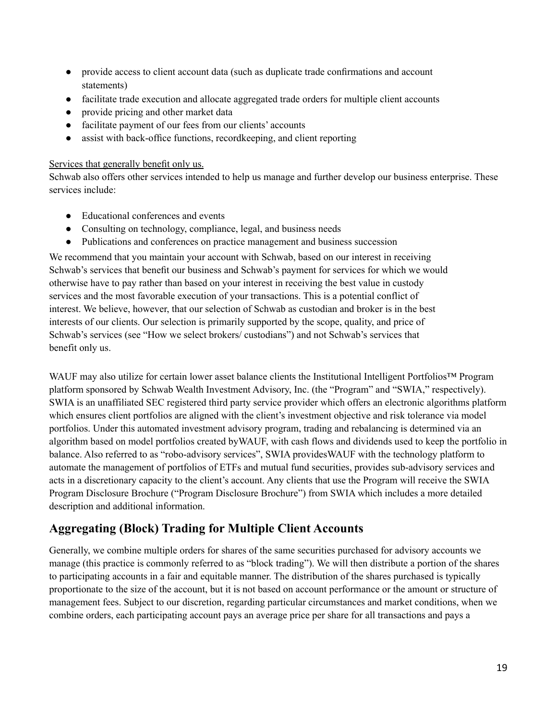- provide access to client account data (such as duplicate trade confirmations and account statements)
- facilitate trade execution and allocate aggregated trade orders for multiple client accounts
- provide pricing and other market data
- facilitate payment of our fees from our clients' accounts
- assist with back-office functions, recordkeeping, and client reporting

#### Services that generally benefit only us.

Schwab also offers other services intended to help us manage and further develop our business enterprise. These services include:

- Educational conferences and events
- Consulting on technology, compliance, legal, and business needs
- Publications and conferences on practice management and business succession

We recommend that you maintain your account with Schwab, based on our interest in receiving Schwab's services that benefit our business and Schwab's payment for services for which we would otherwise have to pay rather than based on your interest in receiving the best value in custody services and the most favorable execution of your transactions. This is a potential conflict of interest. We believe, however, that our selection of Schwab as custodian and broker is in the best interests of our clients. Our selection is primarily supported by the scope, quality, and price of Schwab's services (see "How we select brokers/ custodians") and not Schwab's services that benefit only us.

WAUF may also utilize for certain lower asset balance clients the Institutional Intelligent Portfolios™ Program platform sponsored by Schwab Wealth Investment Advisory, Inc. (the "Program" and "SWIA," respectively). SWIA is an unaffiliated SEC registered third party service provider which offers an electronic algorithms platform which ensures client portfolios are aligned with the client's investment objective and risk tolerance via model portfolios. Under this automated investment advisory program, trading and rebalancing is determined via an algorithm based on model portfolios created byWAUF, with cash flows and dividends used to keep the portfolio in balance. Also referred to as "robo-advisory services", SWIA providesWAUF with the technology platform to automate the management of portfolios of ETFs and mutual fund securities, provides sub-advisory services and acts in a discretionary capacity to the client's account. Any clients that use the Program will receive the SWIA Program Disclosure Brochure ("Program Disclosure Brochure") from SWIA which includes a more detailed description and additional information.

### **Aggregating (Block) Trading for Multiple Client Accounts**

Generally, we combine multiple orders for shares of the same securities purchased for advisory accounts we manage (this practice is commonly referred to as "block trading"). We will then distribute a portion of the shares to participating accounts in a fair and equitable manner. The distribution of the shares purchased is typically proportionate to the size of the account, but it is not based on account performance or the amount or structure of management fees. Subject to our discretion, regarding particular circumstances and market conditions, when we combine orders, each participating account pays an average price per share for all transactions and pays a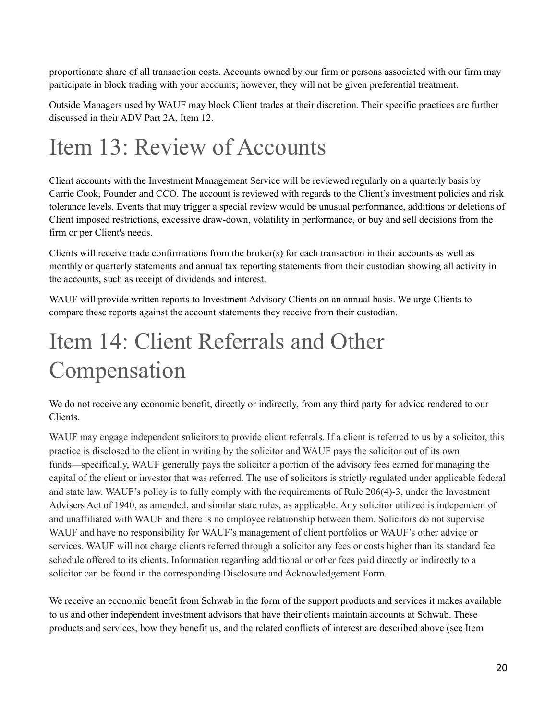proportionate share of all transaction costs. Accounts owned by our firm or persons associated with our firm may participate in block trading with your accounts; however, they will not be given preferential treatment.

Outside Managers used by WAUF may block Client trades at their discretion. Their specific practices are further discussed in their ADV Part 2A, Item 12.

## <span id="page-19-0"></span>Item 13: Review of Accounts

Client accounts with the Investment Management Service will be reviewed regularly on a quarterly basis by Carrie Cook, Founder and CCO. The account is reviewed with regards to the Client's investment policies and risk tolerance levels. Events that may trigger a special review would be unusual performance, additions or deletions of Client imposed restrictions, excessive draw-down, volatility in performance, or buy and sell decisions from the firm or per Client's needs.

Clients will receive trade confirmations from the broker(s) for each transaction in their accounts as well as monthly or quarterly statements and annual tax reporting statements from their custodian showing all activity in the accounts, such as receipt of dividends and interest.

WAUF will provide written reports to Investment Advisory Clients on an annual basis. We urge Clients to compare these reports against the account statements they receive from their custodian.

## <span id="page-19-1"></span>Item 14: Client Referrals and Other Compensation

We do not receive any economic benefit, directly or indirectly, from any third party for advice rendered to our Clients.

WAUF may engage independent solicitors to provide client referrals. If a client is referred to us by a solicitor, this practice is disclosed to the client in writing by the solicitor and WAUF pays the solicitor out of its own funds—specifically, WAUF generally pays the solicitor a portion of the advisory fees earned for managing the capital of the client or investor that was referred. The use of solicitors is strictly regulated under applicable federal and state law. WAUF's policy is to fully comply with the requirements of Rule 206(4)-3, under the Investment Advisers Act of 1940, as amended, and similar state rules, as applicable. Any solicitor utilized is independent of and unaffiliated with WAUF and there is no employee relationship between them. Solicitors do not supervise WAUF and have no responsibility for WAUF's management of client portfolios or WAUF's other advice or services. WAUF will not charge clients referred through a solicitor any fees or costs higher than its standard fee schedule offered to its clients. Information regarding additional or other fees paid directly or indirectly to a solicitor can be found in the corresponding Disclosure and Acknowledgement Form.

We receive an economic benefit from Schwab in the form of the support products and services it makes available to us and other independent investment advisors that have their clients maintain accounts at Schwab. These products and services, how they benefit us, and the related conflicts of interest are described above (see Item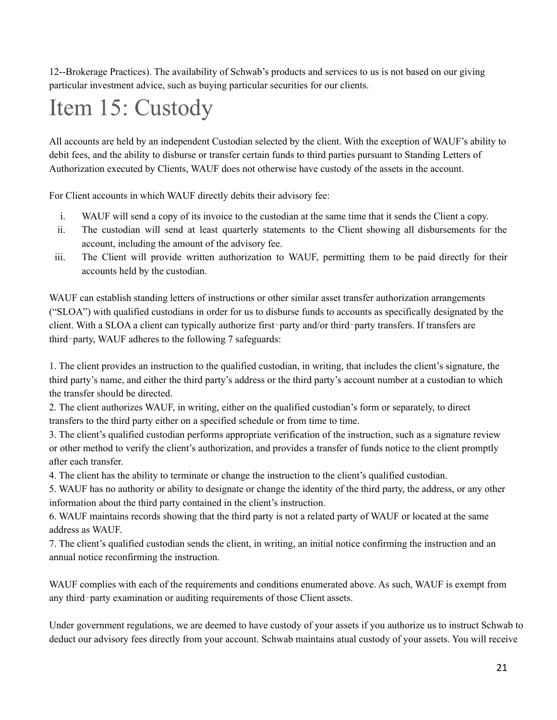12--Brokerage Practices). The availability of Schwab's products and services to us is not based on our giving particular investment advice, such as buying particular securities for our clients.

# <span id="page-20-0"></span>Item 15: Custody

All accounts are held by an independent Custodian selected by the client. With the exception of WAUF's ability to debit fees, and the ability to disburse or transfer certain funds to third parties pursuant to Standing Letters of Authorization executed by Clients, WAUF does not otherwise have custody of the assets in the account.

For Client accounts in which WAUF directly debits their advisory fee:

- i. WAUF will send a copy of its invoice to the custodian at the same time that it sends the Client a copy.
- ii. The custodian will send at least quarterly statements to the Client showing all disbursements for the account, including the amount of the advisory fee.
- iii. The Client will provide written authorization to WAUF, permitting them to be paid directly for their accounts held by the custodian.

WAUF can establish standing letters of instructions or other similar asset transfer authorization arrangements ("SLOA") with qualified custodians in order for us to disburse funds to accounts as specifically designated by the client. With a SLOA a client can typically authorize first-party and/or third-party transfers. If transfers are third‐party, WAUF adheres to the following 7 safeguards:

1. The client provides an instruction to the qualified custodian, in writing, that includes the client's signature, the third party's name, and either the third party's address or the third party's account number at a custodian to which the transfer should be directed.

2. The client authorizes WAUF, in writing, either on the qualified custodian's form or separately, to direct transfers to the third party either on a specified schedule or from time to time.

3. The client's qualified custodian performs appropriate verification of the instruction, such as a signature review or other method to verify the client's authorization, and provides a transfer of funds notice to the client promptly after each transfer.

4. The client has the ability to terminate or change the instruction to the client's qualified custodian.

5. WAUF has no authority or ability to designate or change the identity of the third party, the address, or any other information about the third party contained in the client's instruction.

6. WAUF maintains records showing that the third party is not a related party of WAUF or located at the same address as WAUF.

7. The client's qualified custodian sends the client, in writing, an initial notice confirming the instruction and an annual notice reconfirming the instruction.

WAUF complies with each of the requirements and conditions enumerated above. As such, WAUF is exempt from any third‐party examination or auditing requirements of those Client assets.

Under government regulations, we are deemed to have custody of your assets if you authorize us to instruct Schwab to deduct our advisory fees directly from your account. Schwab maintains atual custody of your assets. You will receive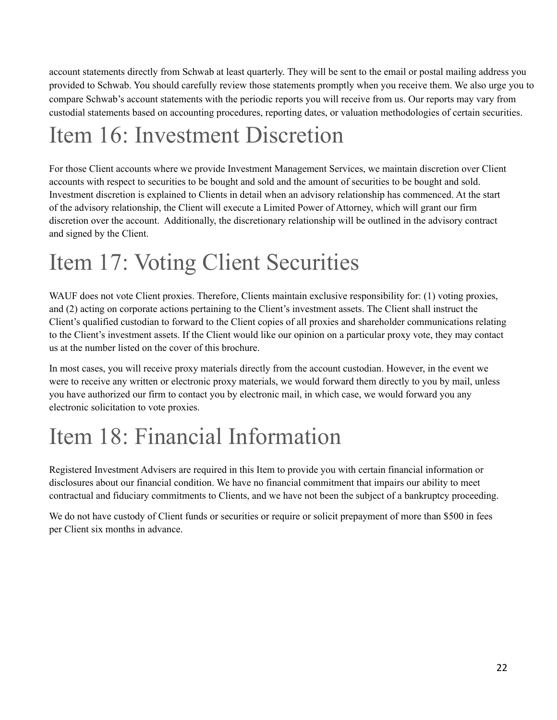account statements directly from Schwab at least quarterly. They will be sent to the email or postal mailing address you provided to Schwab. You should carefully review those statements promptly when you receive them. We also urge you to compare Schwab's account statements with the periodic reports you will receive from us. Our reports may vary from custodial statements based on accounting procedures, reporting dates, or valuation methodologies of certain securities.

## <span id="page-21-0"></span>Item 16: Investment Discretion

For those Client accounts where we provide Investment Management Services, we maintain discretion over Client accounts with respect to securities to be bought and sold and the amount of securities to be bought and sold. Investment discretion is explained to Clients in detail when an advisory relationship has commenced. At the start of the advisory relationship, the Client will execute a Limited Power of Attorney, which will grant our firm discretion over the account. Additionally, the discretionary relationship will be outlined in the advisory contract and signed by the Client.

## <span id="page-21-1"></span>Item 17: Voting Client Securities

WAUF does not vote Client proxies. Therefore, Clients maintain exclusive responsibility for: (1) voting proxies, and (2) acting on corporate actions pertaining to the Client's investment assets. The Client shall instruct the Client's qualified custodian to forward to the Client copies of all proxies and shareholder communications relating to the Client's investment assets. If the Client would like our opinion on a particular proxy vote, they may contact us at the number listed on the cover of this brochure.

In most cases, you will receive proxy materials directly from the account custodian. However, in the event we were to receive any written or electronic proxy materials, we would forward them directly to you by mail, unless you have authorized our firm to contact you by electronic mail, in which case, we would forward you any electronic solicitation to vote proxies.

## <span id="page-21-2"></span>Item 18: Financial Information

Registered Investment Advisers are required in this Item to provide you with certain financial information or disclosures about our financial condition. We have no financial commitment that impairs our ability to meet contractual and fiduciary commitments to Clients, and we have not been the subject of a bankruptcy proceeding.

We do not have custody of Client funds or securities or require or solicit prepayment of more than \$500 in fees per Client six months in advance.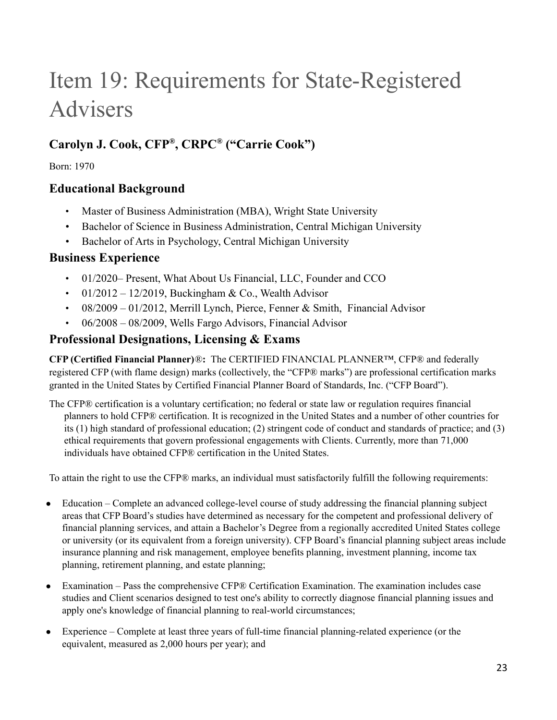## <span id="page-22-0"></span>Item 19: Requirements for State-Registered Advisers

## **Carolyn J. Cook, CFP ® , CRPC ® ("Carrie Cook")**

Born: 1970

### **Educational Background**

- Master of Business Administration (MBA), Wright State University
- Bachelor of Science in Business Administration, Central Michigan University
- Bachelor of Arts in Psychology, Central Michigan University

### **Business Experience**

- 01/2020– Present, What About Us Financial, LLC, Founder and CCO
- 01/2012 12/2019, Buckingham & Co., Wealth Advisor
- 08/2009 01/2012, Merrill Lynch, Pierce, Fenner & Smith, Financial Advisor
- 06/2008 08/2009, Wells Fargo Advisors, Financial Advisor

### **Professional Designations, Licensing & Exams**

**CFP (Certified Financial Planner)**®**:** The CERTIFIED FINANCIAL PLANNER™, CFP® and federally registered CFP (with flame design) marks (collectively, the "CFP® marks") are professional certification marks granted in the United States by Certified Financial Planner Board of Standards, Inc. ("CFP Board").

The CFP® certification is a voluntary certification; no federal or state law or regulation requires financial planners to hold CFP® certification. It is recognized in the United States and a number of other countries for its (1) high standard of professional education; (2) stringent code of conduct and standards of practice; and (3) ethical requirements that govern professional engagements with Clients. Currently, more than 71,000 individuals have obtained CFP® certification in the United States.

To attain the right to use the CFP® marks, an individual must satisfactorily fulfill the following requirements:

- Education Complete an advanced college-level course of study addressing the financial planning subject areas that CFP Board's studies have determined as necessary for the competent and professional delivery of financial planning services, and attain a Bachelor's Degree from a regionally accredited United States college or university (or its equivalent from a foreign university). CFP Board's financial planning subject areas include insurance planning and risk management, employee benefits planning, investment planning, income tax planning, retirement planning, and estate planning;
- Examination Pass the comprehensive CFP® Certification Examination. The examination includes case studies and Client scenarios designed to test one's ability to correctly diagnose financial planning issues and apply one's knowledge of financial planning to real-world circumstances;
- Experience Complete at least three years of full-time financial planning-related experience (or the equivalent, measured as 2,000 hours per year); and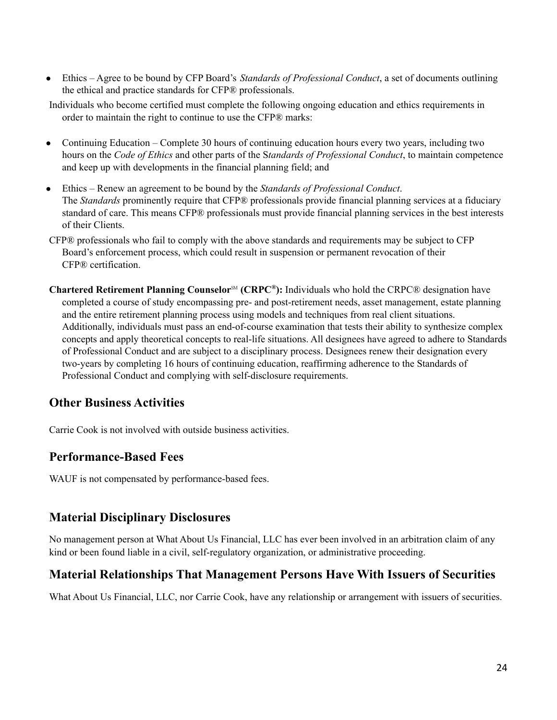● Ethics – Agree to be bound by CFP Board's *Standards of Professional Conduct*, a set of documents outlining the ethical and practice standards for CFP® professionals.

Individuals who become certified must complete the following ongoing education and ethics requirements in order to maintain the right to continue to use the CFP® marks:

- Continuing Education Complete 30 hours of continuing education hours every two years, including two hours on the *Code of Ethics* and other parts of the S*tandards of Professional Conduct*, to maintain competence and keep up with developments in the financial planning field; and
- Ethics Renew an agreement to be bound by the *Standards of Professional Conduct*. The *Standards* prominently require that CFP® professionals provide financial planning services at a fiduciary standard of care. This means CFP® professionals must provide financial planning services in the best interests of their Clients.
- CFP® professionals who fail to comply with the above standards and requirements may be subject to CFP Board's enforcement process, which could result in suspension or permanent revocation of their CFP® certification.
- **Chartered Retirement Planning Counselor**℠ **(CRPC ® ):** Individuals who hold the CRPC® designation have completed a course of study encompassing pre- and post-retirement needs, asset management, estate planning and the entire retirement planning process using models and techniques from real client situations. Additionally, individuals must pass an end-of-course examination that tests their ability to synthesize complex concepts and apply theoretical concepts to real-life situations. All designees have agreed to adhere to Standards of Professional Conduct and are subject to a disciplinary process. Designees renew their designation every two-years by completing 16 hours of continuing education, reaffirming adherence to the Standards of Professional Conduct and complying with self-disclosure requirements.

### **Other Business Activities**

Carrie Cook is not involved with outside business activities.

### **Performance-Based Fees**

WAUF is not compensated by performance-based fees.

### **Material Disciplinary Disclosures**

No management person at What About Us Financial, LLC has ever been involved in an arbitration claim of any kind or been found liable in a civil, self-regulatory organization, or administrative proceeding.

### **Material Relationships That Management Persons Have With Issuers of Securities**

What About Us Financial, LLC, nor Carrie Cook, have any relationship or arrangement with issuers of securities.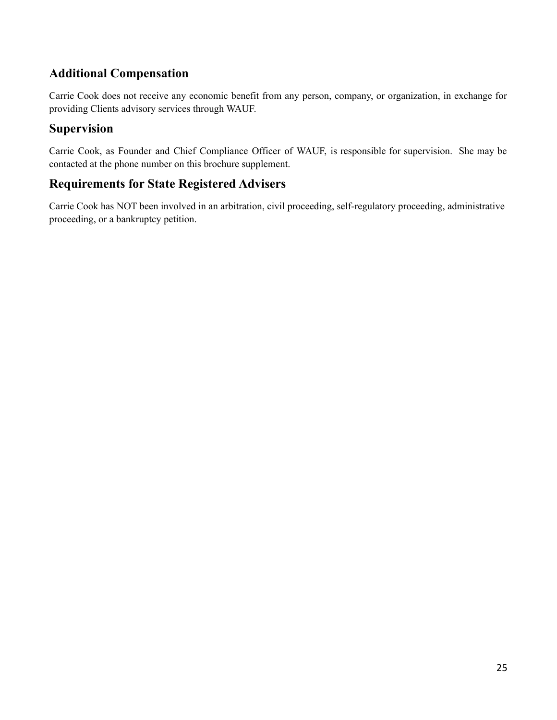### **Additional Compensation**

Carrie Cook does not receive any economic benefit from any person, company, or organization, in exchange for providing Clients advisory services through WAUF.

### **Supervision**

Carrie Cook, as Founder and Chief Compliance Officer of WAUF, is responsible for supervision. She may be contacted at the phone number on this brochure supplement.

### **Requirements for State Registered Advisers**

Carrie Cook has NOT been involved in an arbitration, civil proceeding, self-regulatory proceeding, administrative proceeding, or a bankruptcy petition.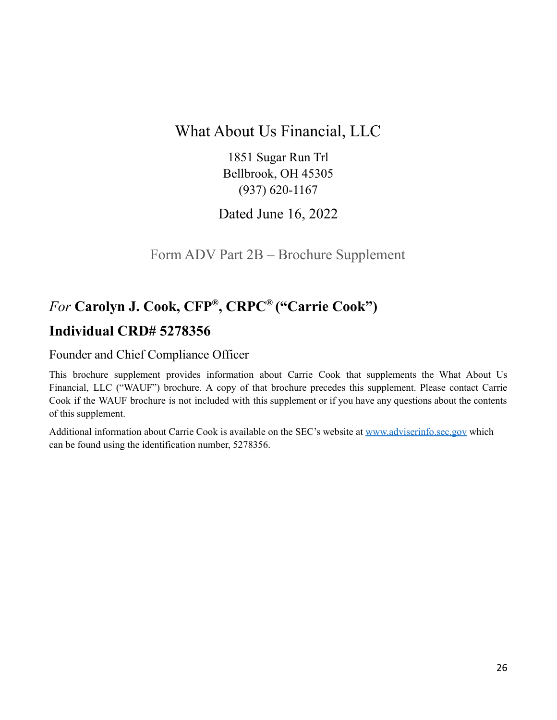## What About Us Financial, LLC

1851 Sugar Run Trl Bellbrook, OH 45305 (937) 620-1167

Dated June 16, 2022

Form ADV Part 2B – Brochure Supplement

## <span id="page-25-0"></span>*For* **Carolyn J. Cook, CFP ® , CRPC ® ("Carrie Cook") Individual CRD# 5278356**

## Founder and Chief Compliance Officer

This brochure supplement provides information about Carrie Cook that supplements the What About Us Financial, LLC ("WAUF") brochure. A copy of that brochure precedes this supplement. Please contact Carrie Cook if the WAUF brochure is not included with this supplement or if you have any questions about the contents of this supplement.

Additional information about Carrie Cook is available on the SEC's website at [www.adviserinfo.sec.gov](http://www.adviserinfo.sec.gov) which can be found using the identification number, 5278356.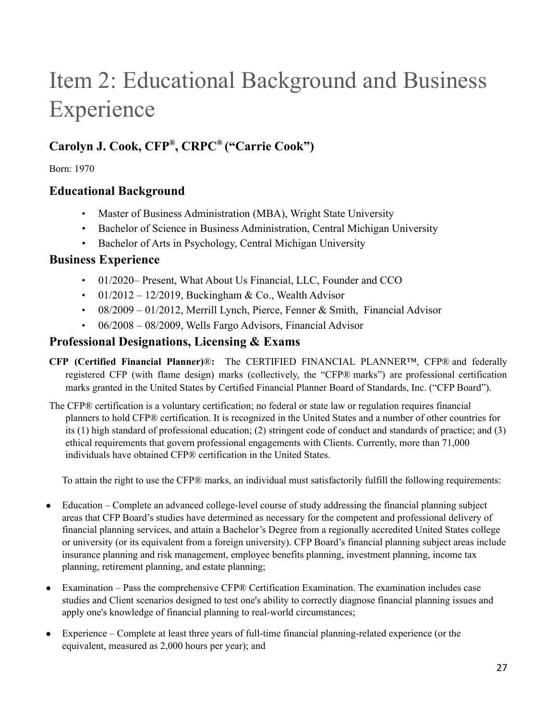## Item 2: Educational Background and Business Experience

## **Carolyn J. Cook, CFP ® , CRPC ® ("Carrie Cook")**

### Born: 1970

### **Educational Background**

- Master of Business Administration (MBA), Wright State University
- Bachelor of Science in Business Administration, Central Michigan University
- Bachelor of Arts in Psychology, Central Michigan University

### **Business Experience**

- 01/2020– Present, What About Us Financial, LLC, Founder and CCO
- 01/2012 12/2019, Buckingham & Co., Wealth Advisor
- 08/2009 01/2012, Merrill Lynch, Pierce, Fenner & Smith, Financial Advisor
- 06/2008 08/2009, Wells Fargo Advisors, Financial Advisor

### **Professional Designations, Licensing & Exams**

- **CFP (Certified Financial Planner)**®**:** The CERTIFIED FINANCIAL PLANNER™, CFP® and federally registered CFP (with flame design) marks (collectively, the "CFP® marks") are professional certification marks granted in the United States by Certified Financial Planner Board of Standards, Inc. ("CFP Board").
- The CFP® certification is a voluntary certification; no federal or state law or regulation requires financial planners to hold CFP® certification. It is recognized in the United States and a number of other countries for its (1) high standard of professional education; (2) stringent code of conduct and standards of practice; and (3) ethical requirements that govern professional engagements with Clients. Currently, more than 71,000 individuals have obtained CFP® certification in the United States.

To attain the right to use the CFP® marks, an individual must satisfactorily fulfill the following requirements:

- Education Complete an advanced college-level course of study addressing the financial planning subject areas that CFP Board's studies have determined as necessary for the competent and professional delivery of financial planning services, and attain a Bachelor's Degree from a regionally accredited United States college or university (or its equivalent from a foreign university). CFP Board's financial planning subject areas include insurance planning and risk management, employee benefits planning, investment planning, income tax planning, retirement planning, and estate planning;
- Examination Pass the comprehensive CFP® Certification Examination. The examination includes case studies and Client scenarios designed to test one's ability to correctly diagnose financial planning issues and apply one's knowledge of financial planning to real-world circumstances;
- Experience Complete at least three years of full-time financial planning-related experience (or the equivalent, measured as 2,000 hours per year); and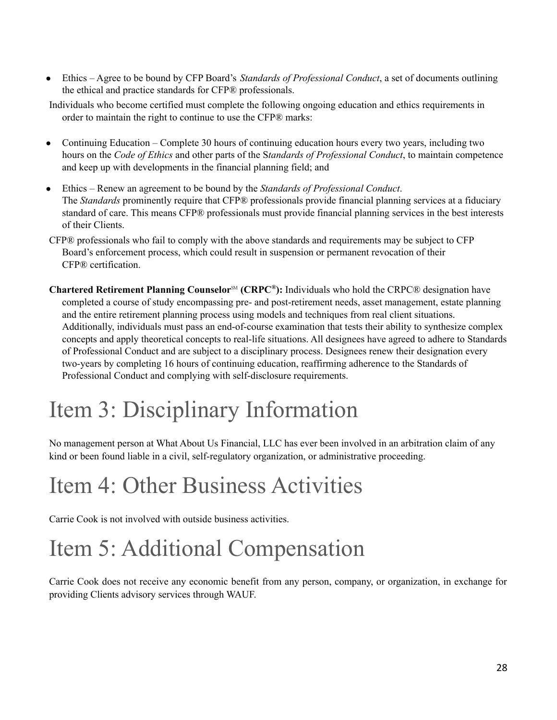● Ethics – Agree to be bound by CFP Board's *Standards of Professional Conduct*, a set of documents outlining the ethical and practice standards for CFP® professionals.

Individuals who become certified must complete the following ongoing education and ethics requirements in order to maintain the right to continue to use the CFP® marks:

- Continuing Education Complete 30 hours of continuing education hours every two years, including two hours on the *Code of Ethics* and other parts of the S*tandards of Professional Conduct*, to maintain competence and keep up with developments in the financial planning field; and
- Ethics Renew an agreement to be bound by the *Standards of Professional Conduct*. The *Standards* prominently require that CFP® professionals provide financial planning services at a fiduciary standard of care. This means CFP® professionals must provide financial planning services in the best interests of their Clients.
- CFP® professionals who fail to comply with the above standards and requirements may be subject to CFP Board's enforcement process, which could result in suspension or permanent revocation of their CFP® certification.
- **Chartered Retirement Planning Counselor**℠ **(CRPC ® ):** Individuals who hold the CRPC® designation have completed a course of study encompassing pre- and post-retirement needs, asset management, estate planning and the entire retirement planning process using models and techniques from real client situations. Additionally, individuals must pass an end-of-course examination that tests their ability to synthesize complex concepts and apply theoretical concepts to real-life situations. All designees have agreed to adhere to Standards of Professional Conduct and are subject to a disciplinary process. Designees renew their designation every two-years by completing 16 hours of continuing education, reaffirming adherence to the Standards of Professional Conduct and complying with self-disclosure requirements.

## Item 3: Disciplinary Information

No management person at What About Us Financial, LLC has ever been involved in an arbitration claim of any kind or been found liable in a civil, self-regulatory organization, or administrative proceeding.

## Item 4: Other Business Activities

Carrie Cook is not involved with outside business activities.

## Item 5: Additional Compensation

Carrie Cook does not receive any economic benefit from any person, company, or organization, in exchange for providing Clients advisory services through WAUF.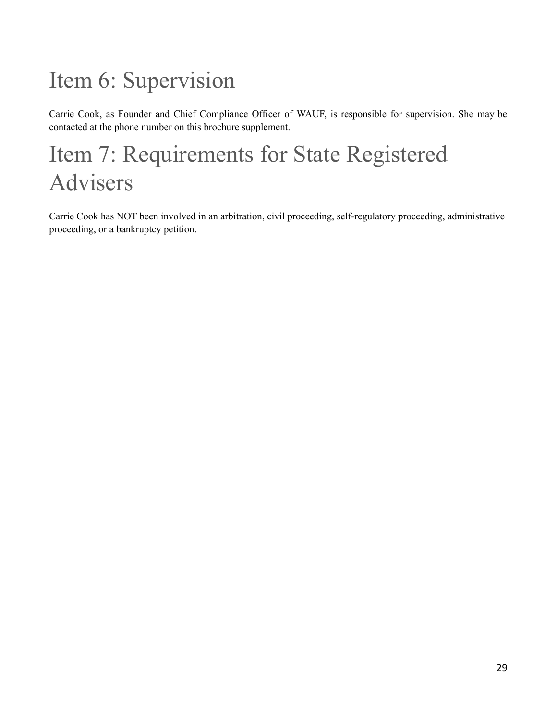## Item 6: Supervision

Carrie Cook, as Founder and Chief Compliance Officer of WAUF, is responsible for supervision. She may be contacted at the phone number on this brochure supplement.

## Item 7: Requirements for State Registered Advisers

Carrie Cook has NOT been involved in an arbitration, civil proceeding, self-regulatory proceeding, administrative proceeding, or a bankruptcy petition.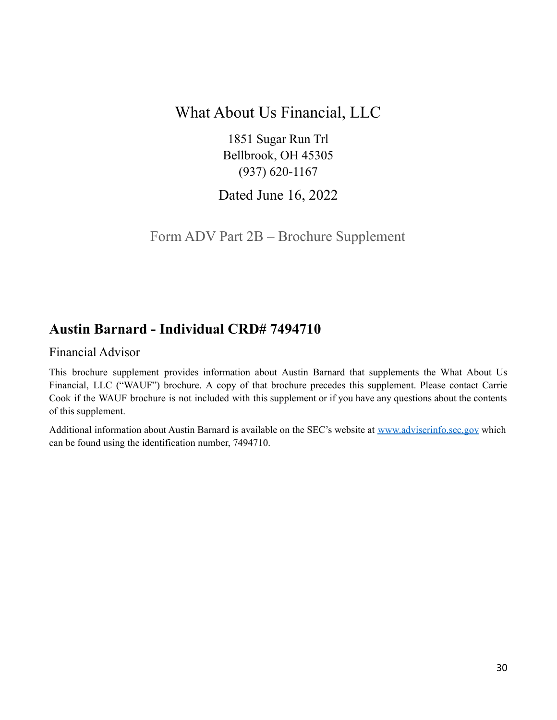## What About Us Financial, LLC

1851 Sugar Run Trl Bellbrook, OH 45305 (937) 620-1167

Dated June 16, 2022

Form ADV Part 2B – Brochure Supplement

## <span id="page-29-0"></span>**Austin Barnard - Individual CRD# 7494710**

### Financial Advisor

This brochure supplement provides information about Austin Barnard that supplements the What About Us Financial, LLC ("WAUF") brochure. A copy of that brochure precedes this supplement. Please contact Carrie Cook if the WAUF brochure is not included with this supplement or if you have any questions about the contents of this supplement.

Additional information about Austin Barnard is available on the SEC's website at [www.adviserinfo.sec.gov](http://www.adviserinfo.sec.gov) which can be found using the identification number, 7494710.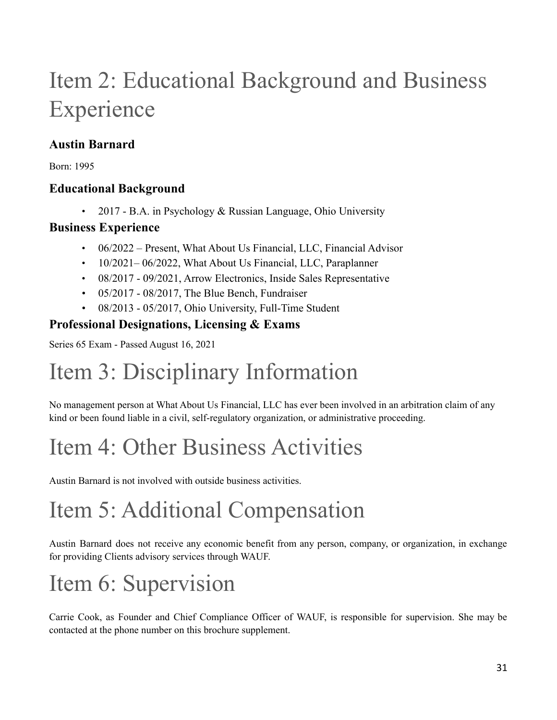## Item 2: Educational Background and Business Experience

## **Austin Barnard**

Born: 1995

## **Educational Background**

• 2017 - B.A. in Psychology & Russian Language, Ohio University

## **Business Experience**

- 06/2022 Present, What About Us Financial, LLC, Financial Advisor
- 10/2021–06/2022, What About Us Financial, LLC, Paraplanner
- 08/2017 09/2021, Arrow Electronics, Inside Sales Representative
- 05/2017 08/2017, The Blue Bench, Fundraiser
- 08/2013 05/2017, Ohio University, Full-Time Student

## **Professional Designations, Licensing & Exams**

Series 65 Exam - Passed August 16, 2021

# Item 3: Disciplinary Information

No management person at What About Us Financial, LLC has ever been involved in an arbitration claim of any kind or been found liable in a civil, self-regulatory organization, or administrative proceeding.

# Item 4: Other Business Activities

Austin Barnard is not involved with outside business activities.

# Item 5: Additional Compensation

Austin Barnard does not receive any economic benefit from any person, company, or organization, in exchange for providing Clients advisory services through WAUF.

# Item 6: Supervision

Carrie Cook, as Founder and Chief Compliance Officer of WAUF, is responsible for supervision. She may be contacted at the phone number on this brochure supplement.